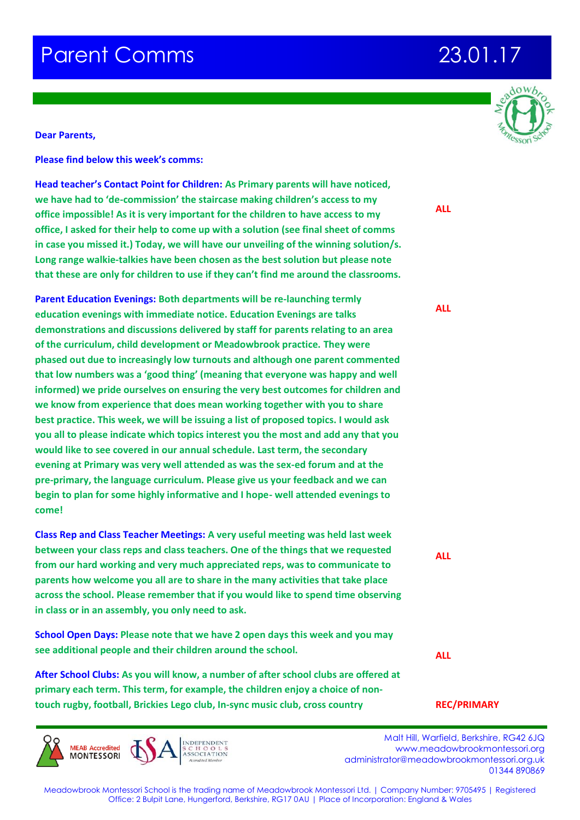### **Dear Parents,**

**Please find below this week's comms:**

**Head teacher's Contact Point for Children: As Primary parents will have noticed, we have had to 'de-commission' the staircase making children's access to my office impossible! As it is very important for the children to have access to my office, I asked for their help to come up with a solution (see final sheet of comms in case you missed it.) Today, we will have our unveiling of the winning solution/s. Long range walkie-talkies have been chosen as the best solution but please note that these are only for children to use if they can't find me around the classrooms.**

**Parent Education Evenings: Both departments will be re-launching termly education evenings with immediate notice. Education Evenings are talks demonstrations and discussions delivered by staff for parents relating to an area of the curriculum, child development or Meadowbrook practice. They were phased out due to increasingly low turnouts and although one parent commented that low numbers was a 'good thing' (meaning that everyone was happy and well informed) we pride ourselves on ensuring the very best outcomes for children and we know from experience that does mean working together with you to share best practice. This week, we will be issuing a list of proposed topics. I would ask you all to please indicate which topics interest you the most and add any that you would like to see covered in our annual schedule. Last term, the secondary evening at Primary was very well attended as was the sex-ed forum and at the pre-primary, the language curriculum. Please give us your feedback and we can begin to plan for some highly informative and I hope- well attended evenings to come!**

**Class Rep and Class Teacher Meetings: A very useful meeting was held last week between your class reps and class teachers. One of the things that we requested from our hard working and very much appreciated reps, was to communicate to parents how welcome you all are to share in the many activities that take place across the school. Please remember that if you would like to spend time observing in class or in an assembly, you only need to ask.**

**School Open Days: Please note that we have 2 open days this week and you may see additional people and their children around the school.** 

**After School Clubs: As you will know, a number of after school clubs are offered at primary each term. This term, for example, the children enjoy a choice of nontouch rugby, football, Brickies Lego club, In-sync music club, cross country** 



 Malt Hill, Warfield, Berkshire, RG42 6JQ www.meadowbrookmontessori.org [administrator@meadowbrookmontessori.org.uk](mailto:administrator@meadowbrookmontessori.org.uk) 01344 890869



**ALL**

**ALL**

**ALL**

**ALL**

## **REC/PRIMARY**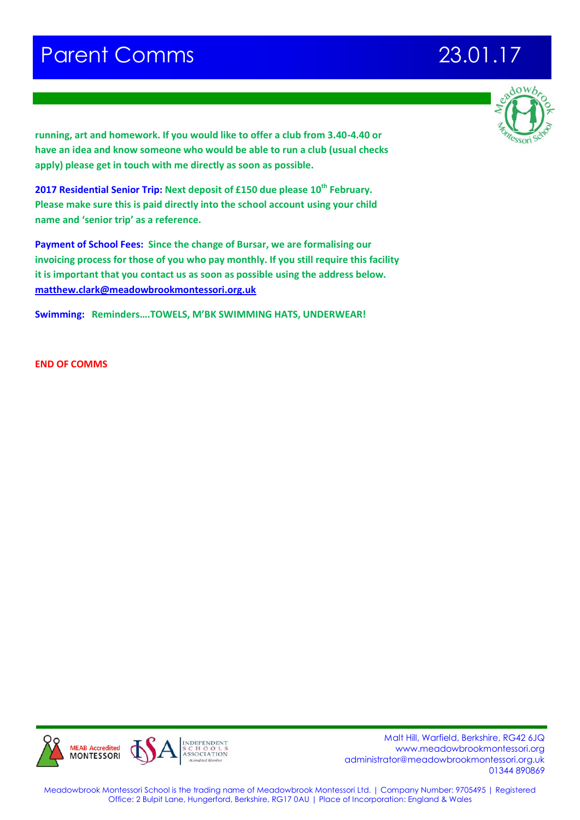

**running, art and homework. If you would like to offer a club from 3.40-4.40 or have an idea and know someone who would be able to run a club (usual checks apply) please get in touch with me directly as soon as possible.**

**2017 Residential Senior Trip: Next deposit of £150 due please 10th February. Please make sure this is paid directly into the school account using your child name and 'senior trip' as a reference.** 

**Payment of School Fees: Since the change of Bursar, we are formalising our invoicing process for those of you who pay monthly. If you still require this facility it is important that you contact us as soon as possible using the address below. [matthew.clark@meadowbrookmontessori.org.uk](mailto:matthew.clark@meadowbrookmontessori.org.uk)**

**Swimming: Reminders….TOWELS, M'BK SWIMMING HATS, UNDERWEAR!** 

**END OF COMMS**



 Malt Hill, Warfield, Berkshire, RG42 6JQ www.meadowbrookmontessori.org [administrator@meadowbrookmontessori.org.uk](mailto:administrator@meadowbrookmontessori.org.uk) 01344 890869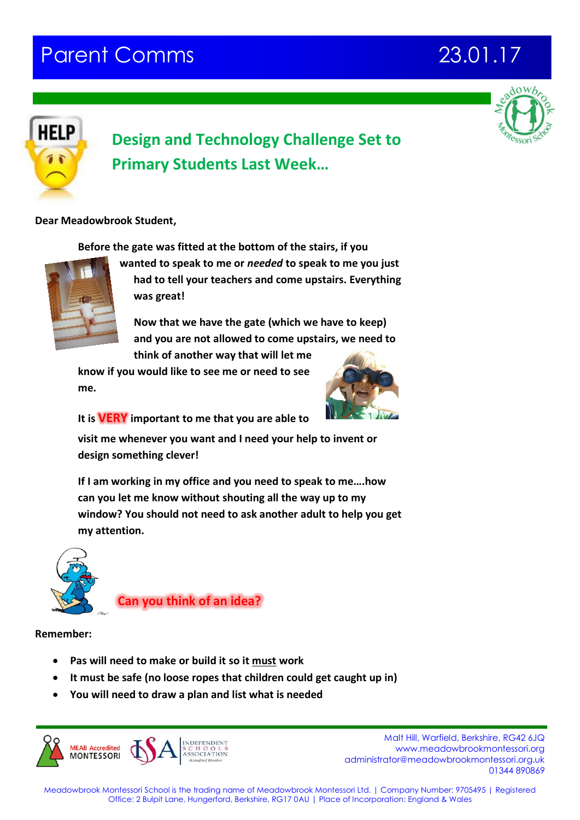



## **Design and Technology Challenge Set to Primary Students Last Week…**

## **Dear Meadowbrook Student,**

**Before the gate was fitted at the bottom of the stairs, if you** 



**wanted to speak to me or** *needed* **to speak to me you just had to tell your teachers and come upstairs. Everything was great!**

**Now that we have the gate (which we have to keep) and you are not allowed to come upstairs, we need to think of another way that will let me** 

**know if you would like to see me or need to see me.**



**It is VERY important to me that you are able to** 

**visit me whenever you want and I need your help to invent or design something clever!**

**If I am working in my office and you need to speak to me….how can you let me know without shouting all the way up to my window? You should not need to ask another adult to help you get my attention.**



**Can you think of an idea?**

**Remember:** 

- **Pas will need to make or build it so it must work**
- **It must be safe (no loose ropes that children could get caught up in)**
- **You will need to draw a plan and list what is needed**



 Malt Hill, Warfield, Berkshire, RG42 6JQ www.meadowbrookmontessori.org [administrator@meadowbrookmontessori.org.uk](mailto:administrator@meadowbrookmontessori.org.uk) 01344 890869